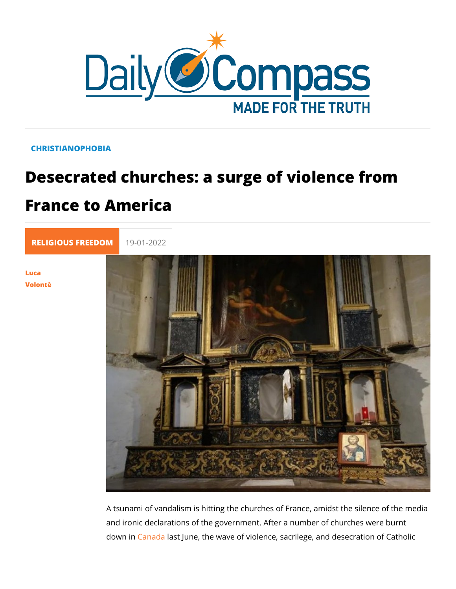## CHRISTIANOPHOBIA

## Desecrated churches: a surge of violence France to America

[RELIGIOUS FR](https://newdailycompass.com/en/religious-freedom)E 19-01-2022

[Luc](/en/luca-volonte-1)a [Volon](/en/luca-volonte-1)tè

> A tsunami of vandalism is hitting the churches of France, amid and ironic declarations of the government. After a number of c down Onanadlast June, the wave of violence, sacrilege, and des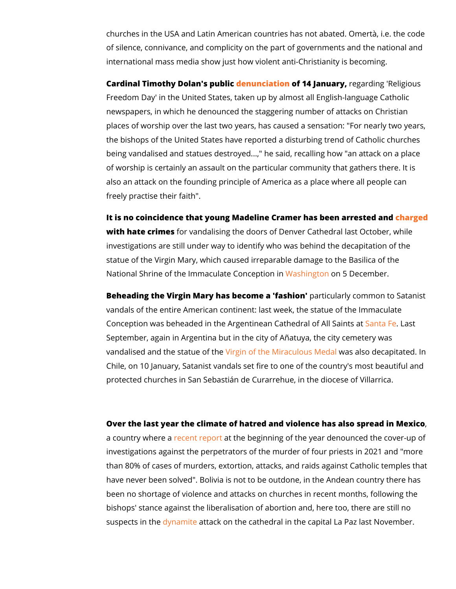churches in the USA and Latin American countries has not aba of silence, connivance, and complicity on the part of governme international mass media show just how violent anti-Christiani

Cardinal Timothy Dolan'ds e publication find Januaer grandin Repligious Freedom Day' in the United States, taken up by almost all Eng newspapers, in which he denounced the staggering number of a places of worship over the last two years, has caused a sensa the bishops of the United States have reported a disturbing tre being vandalised and statues destroyed...," he said, recalling of worship is certainly an assault on the particular community also an attack on the founding principle of America as a place freely practise their faith".

It is no coincidence that young Madeline Cramer has <mark>heen gne d</mark>arre with hate crimes vandalising the doors of Denver Cathedral las investigations are still under way to identify who was behind t statue of the Virgin Mary, which caused irreparable damage to National Shrine of the Immaculat bacs bing of the Concember.

Beheading the Virgin Mary has becomparaticidashion common to Satanistic and the Sate of Satanistic Annumento Sa vandals of the entire American continent: last week, the statue Conception was beheaded in the Argentinean Cathendral and All September, again in Argentina but in the city of Añatuya, the vandalised and the statuge rofof hteh e Miraculwas alles dade capitated Chile, on 10 January, Satanist vandals set fire to one of the c protected churches in San Sebastián de Curarrehue, in the dio

Over the last year the climate of hatred and violence has, also a country whree reat repadithe beginning of the year denounced t investigations against the perpetrators of the murder of four p than 80% of cases of murders, extortion, attacks, and raids ag have never been solved". Bolivia is not to be outdone, in the  $\ell$ been no shortage of violence and attacks on churches in recent bishops' stance against the liberalisation of abortion and, her suspects i<mark>dythæmiteet</mark>tack on the cathedral in the capital La Paz